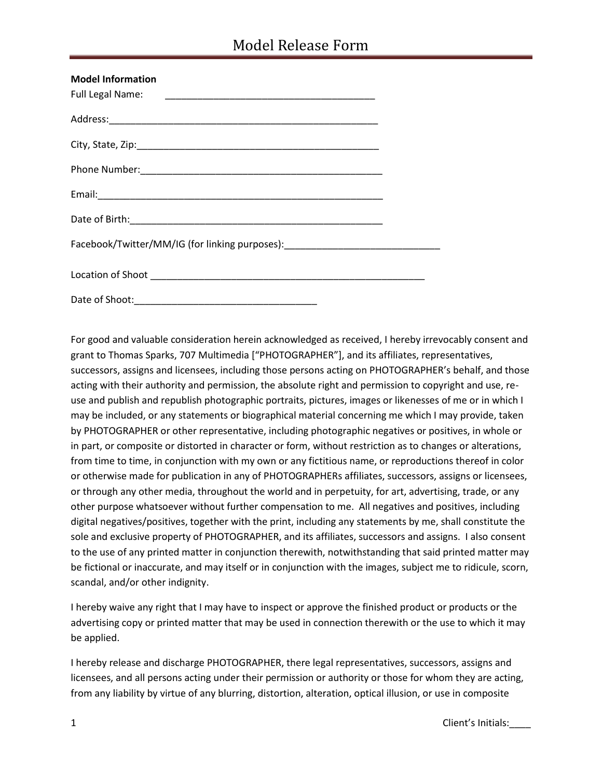| <b>Model Information</b>                                                         |  |
|----------------------------------------------------------------------------------|--|
|                                                                                  |  |
|                                                                                  |  |
|                                                                                  |  |
|                                                                                  |  |
|                                                                                  |  |
|                                                                                  |  |
| Facebook/Twitter/MM/IG (for linking purposes): _________________________________ |  |
|                                                                                  |  |
| Date of Shoot: 2000 Page 2010 Page 2010 Page 2010 Page 2010 Page 2010 Page 2010  |  |

For good and valuable consideration herein acknowledged as received, I hereby irrevocably consent and grant to Thomas Sparks, 707 Multimedia ["PHOTOGRAPHER"], and its affiliates, representatives, successors, assigns and licensees, including those persons acting on PHOTOGRAPHER's behalf, and those acting with their authority and permission, the absolute right and permission to copyright and use, reuse and publish and republish photographic portraits, pictures, images or likenesses of me or in which I may be included, or any statements or biographical material concerning me which I may provide, taken by PHOTOGRAPHER or other representative, including photographic negatives or positives, in whole or in part, or composite or distorted in character or form, without restriction as to changes or alterations, from time to time, in conjunction with my own or any fictitious name, or reproductions thereof in color or otherwise made for publication in any of PHOTOGRAPHERs affiliates, successors, assigns or licensees, or through any other media, throughout the world and in perpetuity, for art, advertising, trade, or any other purpose whatsoever without further compensation to me. All negatives and positives, including digital negatives/positives, together with the print, including any statements by me, shall constitute the sole and exclusive property of PHOTOGRAPHER, and its affiliates, successors and assigns. I also consent to the use of any printed matter in conjunction therewith, notwithstanding that said printed matter may be fictional or inaccurate, and may itself or in conjunction with the images, subject me to ridicule, scorn, scandal, and/or other indignity.

I hereby waive any right that I may have to inspect or approve the finished product or products or the advertising copy or printed matter that may be used in connection therewith or the use to which it may be applied.

I hereby release and discharge PHOTOGRAPHER, there legal representatives, successors, assigns and licensees, and all persons acting under their permission or authority or those for whom they are acting, from any liability by virtue of any blurring, distortion, alteration, optical illusion, or use in composite